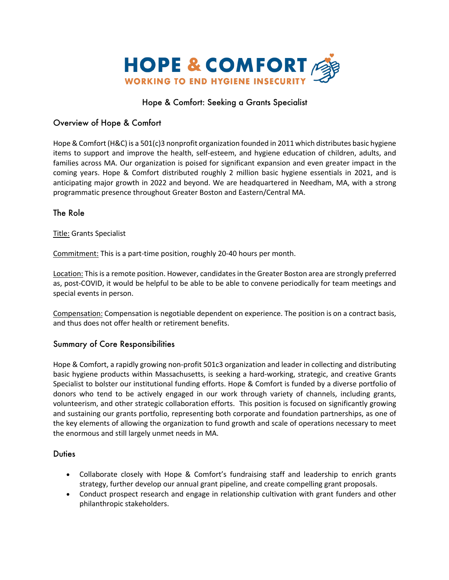

# Hope & Comfort: Seeking a Grants Specialist

# Overview of Hope & Comfort

Hope & Comfort (H&C) is a 501(c)3 nonprofit organization founded in 2011 which distributes basic hygiene items to support and improve the health, self-esteem, and hygiene education of children, adults, and families across MA. Our organization is poised for significant expansion and even greater impact in the coming years. Hope & Comfort distributed roughly 2 million basic hygiene essentials in 2021, and is anticipating major growth in 2022 and beyond. We are headquartered in Needham, MA, with a strong programmatic presence throughout Greater Boston and Eastern/Central MA.

#### The Role

Title: Grants Specialist

Commitment: This is a part-time position, roughly 20-40 hours per month.

Location: This is a remote position. However, candidates in the Greater Boston area are strongly preferred as, post-COVID, it would be helpful to be able to be able to convene periodically for team meetings and special events in person.

Compensation: Compensation is negotiable dependent on experience. The position is on a contract basis, and thus does not offer health or retirement benefits.

#### Summary of Core Responsibilities

Hope & Comfort, a rapidly growing non-profit 501c3 organization and leader in collecting and distributing basic hygiene products within Massachusetts, is seeking a hard-working, strategic, and creative Grants Specialist to bolster our institutional funding efforts. Hope & Comfort is funded by a diverse portfolio of donors who tend to be actively engaged in our work through variety of channels, including grants, volunteerism, and other strategic collaboration efforts. This position is focused on significantly growing and sustaining our grants portfolio, representing both corporate and foundation partnerships, as one of the key elements of allowing the organization to fund growth and scale of operations necessary to meet the enormous and still largely unmet needs in MA.

#### **Duties**

- Collaborate closely with Hope & Comfort's fundraising staff and leadership to enrich grants strategy, further develop our annual grant pipeline, and create compelling grant proposals.
- Conduct prospect research and engage in relationship cultivation with grant funders and other philanthropic stakeholders.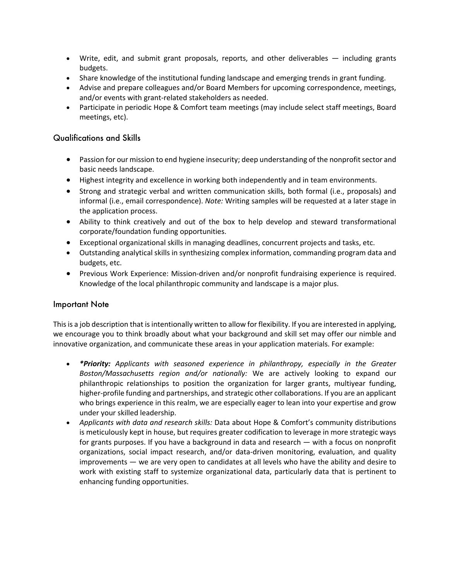- Write, edit, and submit grant proposals, reports, and other deliverables including grants budgets.
- Share knowledge of the institutional funding landscape and emerging trends in grant funding.
- Advise and prepare colleagues and/or Board Members for upcoming correspondence, meetings, and/or events with grant-related stakeholders as needed.
- Participate in periodic Hope & Comfort team meetings (may include select staff meetings, Board meetings, etc).

### Qualifications and Skills

- Passion for our mission to end hygiene insecurity; deep understanding of the nonprofit sector and basic needs landscape.
- Highest integrity and excellence in working both independently and in team environments.
- Strong and strategic verbal and written communication skills, both formal (i.e., proposals) and informal (i.e., email correspondence). *Note:* Writing samples will be requested at a later stage in the application process.
- Ability to think creatively and out of the box to help develop and steward transformational corporate/foundation funding opportunities.
- Exceptional organizational skills in managing deadlines, concurrent projects and tasks, etc.
- Outstanding analytical skills in synthesizing complex information, commanding program data and budgets, etc.
- Previous Work Experience: Mission-driven and/or nonprofit fundraising experience is required. Knowledge of the local philanthropic community and landscape is a major plus.

#### Important Note

This is a job description that is intentionally written to allow for flexibility. If you are interested in applying, we encourage you to think broadly about what your background and skill set may offer our nimble and innovative organization, and communicate these areas in your application materials. For example:

- *\*Priority: Applicants with seasoned experience in philanthropy, especially in the Greater Boston/Massachusetts region and/or nationally:* We are actively looking to expand our philanthropic relationships to position the organization for larger grants, multiyear funding, higher-profile funding and partnerships, and strategic other collaborations. If you are an applicant who brings experience in this realm, we are especially eager to lean into your expertise and grow under your skilled leadership.
- *Applicants with data and research skills:* Data about Hope & Comfort's community distributions is meticulously kept in house, but requires greater codification to leverage in more strategic ways for grants purposes. If you have a background in data and research — with a focus on nonprofit organizations, social impact research, and/or data-driven monitoring, evaluation, and quality improvements — we are very open to candidates at all levels who have the ability and desire to work with existing staff to systemize organizational data, particularly data that is pertinent to enhancing funding opportunities.